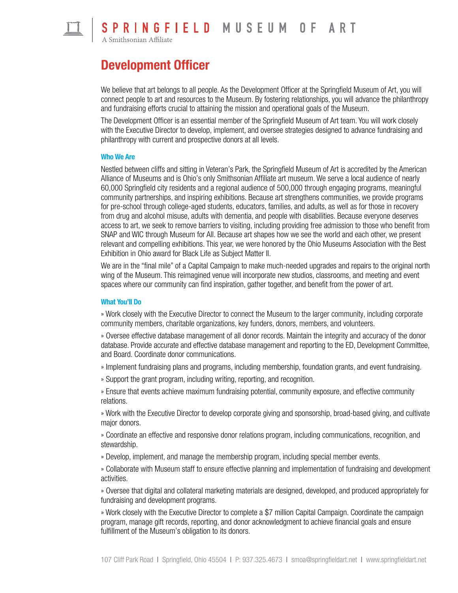

S P R I N G F I E L D M U S E U M O F A R T

# Development Officer

We believe that art belongs to all people. As the Development Officer at the Springfield Museum of Art, you will connect people to art and resources to the Museum. By fostering relationships, you will advance the philanthropy and fundraising efforts crucial to attaining the mission and operational goals of the Museum.

The Development Officer is an essential member of the Springfield Museum of Art team. You will work closely with the Executive Director to develop, implement, and oversee strategies designed to advance fundraising and philanthropy with current and prospective donors at all levels.

#### Who We Are

Nestled between cliffs and sitting in Veteran's Park, the Springfield Museum of Art is accredited by the American Alliance of Museums and is Ohio's only Smithsonian Affiliate art museum. We serve a local audience of nearly 60,000 Springfield city residents and a regional audience of 500,000 through engaging programs, meaningful community partnerships, and inspiring exhibitions. Because art strengthens communities, we provide programs for pre-school through college-aged students, educators, families, and adults, as well as for those in recovery from drug and alcohol misuse, adults with dementia, and people with disabilities. Because everyone deserves access to art, we seek to remove barriers to visiting, including providing free admission to those who benefit from SNAP and WIC through Museum for All. Because art shapes how we see the world and each other, we present relevant and compelling exhibitions. This year, we were honored by the Ohio Museums Association with the Best Exhibition in Ohio award for Black Life as Subject Matter II.

We are in the "final mile" of a Capital Campaign to make much-needed upgrades and repairs to the original north wing of the Museum. This reimagined venue will incorporate new studios, classrooms, and meeting and event spaces where our community can find inspiration, gather together, and benefit from the power of art.

#### What You'll Do

» Work closely with the Executive Director to connect the Museum to the larger community, including corporate community members, charitable organizations, key funders, donors, members, and volunteers.

» Oversee effective database management of all donor records. Maintain the integrity and accuracy of the donor database. Provide accurate and effective database management and reporting to the ED, Development Committee, and Board. Coordinate donor communications.

» Implement fundraising plans and programs, including membership, foundation grants, and event fundraising.

» Support the grant program, including writing, reporting, and recognition.

» Ensure that events achieve maximum fundraising potential, community exposure, and effective community relations.

» Work with the Executive Director to develop corporate giving and sponsorship, broad-based giving, and cultivate major donors.

» Coordinate an effective and responsive donor relations program, including communications, recognition, and stewardship.

» Develop, implement, and manage the membership program, including special member events.

» Collaborate with Museum staff to ensure effective planning and implementation of fundraising and development activities.

» Oversee that digital and collateral marketing materials are designed, developed, and produced appropriately for fundraising and development programs.

» Work closely with the Executive Director to complete a \$7 million Capital Campaign. Coordinate the campaign program, manage gift records, reporting, and donor acknowledgment to achieve financial goals and ensure fulfillment of the Museum's obligation to its donors.